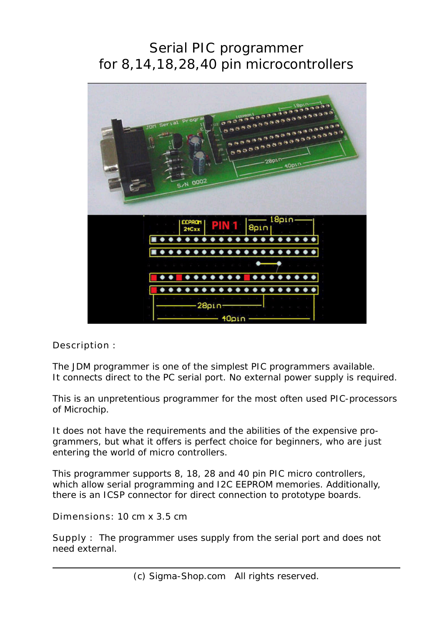## Serial PIC programmer for 8,14,18,28,40 pin microcontrollers



Description :

The JDM programmer is one of the simplest PIC programmers available. It connects direct to the PC serial port. No external power supply is required.

This is an unpretentious programmer for the most often used PIC-processors of Microchip.

It does not have the requirements and the abilities of the expensive programmers, but what it offers is perfect choice for beginners, who are just entering the world of micro controllers.

This programmer supports 8, 18, 28 and 40 pin PIC micro controllers, which allow serial programming and I2C EEPROM memories. Additionally, there is an ICSP connector for direct connection to prototype boards.

Dimensions: 10 cm x 3.5 cm

Supply : The programmer uses supply from the serial port and does not need external.

(c) Sigma-Shop.com All rights reserved.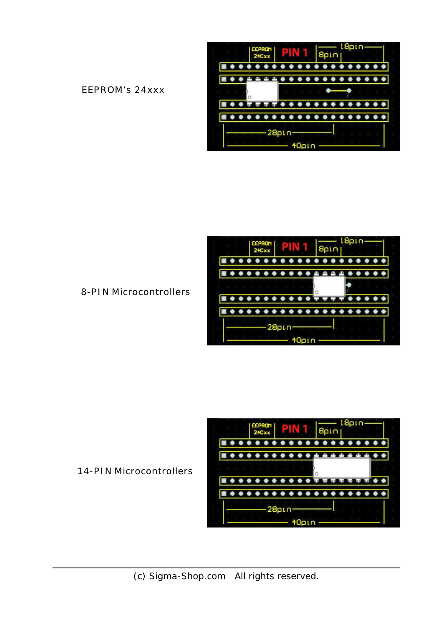EEPROM's 24xxx





8-PIN Microcontrollers



14-PIN Microcontrollers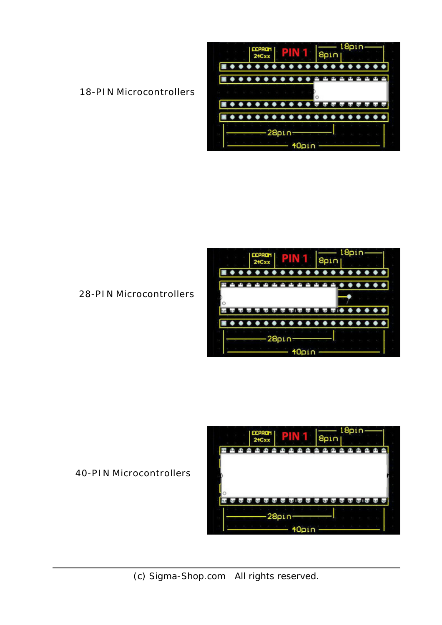18-PIN Microcontrollers





28-PIN Microcontrollers



40-PIN Microcontrollers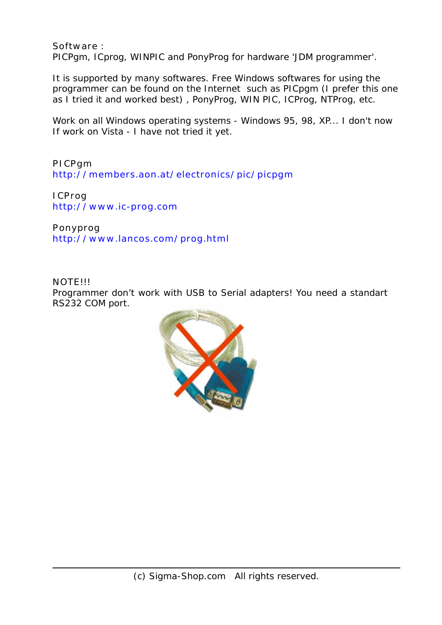Software : PICPgm, ICprog, WINPIC and PonyProg for hardware 'JDM programmer'.

It is supported by many softwares. Free Windows softwares for using the programmer can be found on the Internet such as PICpgm (I prefer this one as I tried it and worked best) , PonyProg, WIN PIC, ICProg, NTProg, etc.

Work on all Windows operating systems - Windows 95, 98, XP... I don't now If work on Vista - I have not tried it yet.

PICPgm http://members.aon.at/electronics/pic/picpgm

ICProg http://www.ic-prog.com

Ponyprog http://www.lancos.com/prog.html

NOTE!!! Programmer don't work with USB to Serial adapters! You need a standart RS232 COM port.